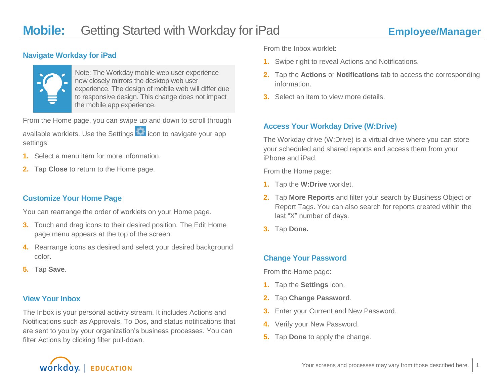### **Navigate Workday for iPad**



Note: The Workday mobile web user experience now closely mirrors the desktop web user experience. The design of mobile web will differ due to responsive design. This change does not impact the mobile app experience.

From the Home page, you can swipe up and down to scroll through available worklets. Use the Settings **in the lie on** to navigate your app settings:

- **1.** Select a menu item for more information.
- **2.** Tap **Close** to return to the Home page.

### **Customize Your Home Page**

You can rearrange the order of worklets on your Home page.

- **3.** Touch and drag icons to their desired position. The Edit Home page menu appears at the top of the screen.
- **4.** Rearrange icons as desired and select your desired background color.
- **5.** Tap **Save**.

### **View Your Inbox**

The Inbox is your personal activity stream. It includes Actions and Notifications such as Approvals, To Dos, and status notifications that are sent to you by your organization's business processes. You can filter Actions by clicking filter pull-down.

From the Inbox worklet:

- **1.** Swipe right to reveal Actions and Notifications.
- **2.** Tap the **Actions** or **Notifications** tab to access the corresponding information.
- **3.** Select an item to view more details.

### **Access Your Workday Drive (W:Drive)**

The Workday drive (W:Drive) is a virtual drive where you can store your scheduled and shared reports and access them from your iPhone and iPad.

From the Home page:

- **1.** Tap the **W:Drive** worklet.
- **2.** Tap **More Reports** and filter your search by Business Object or Report Tags. You can also search for reports created within the last "X" number of days.
- **3.** Tap **Done.**

### **Change Your Password**

From the Home page:

- **1.** Tap the **Settings** icon.
- **2.** Tap **Change Password**.
- **3.** Enter your Current and New Password.
- **4.** Verify your New Password.
- **5.** Tap **Done** to apply the change.

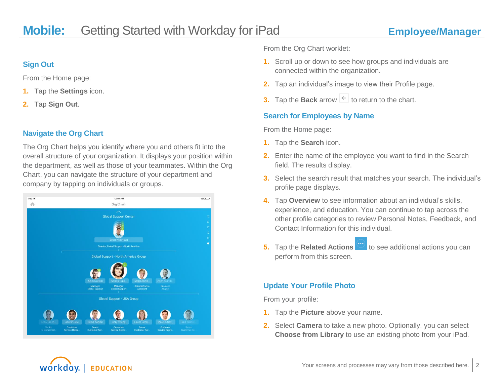### **Sign Out**

From the Home page:

- **1.** Tap the **Settings** icon.
- **2.** Tap **Sign Out**.

### **Navigate the Org Chart**

The Org Chart helps you identify where you and others fit into the overall structure of your organization. It displays your position within the department, as well as those of your teammates. Within the Org Chart, you can navigate the structure of your department and company by tapping on individuals or groups.



From the Org Chart worklet:

- **1.** Scroll up or down to see how groups and individuals are connected within the organization.
- **2.** Tap an individual's image to view their Profile page.
- **3.** Tap the **Back** arrow  $\leq$  to return to the chart.

### **Search for Employees by Name**

From the Home page:

- **1.** Tap the **Search** icon.
- **2.** Enter the name of the employee you want to find in the Search field. The results display.
- **3.** Select the search result that matches your search. The individual's profile page displays.
- **4.** Tap **Overview** to see information about an individual's skills, experience, and education. You can continue to tap across the other profile categories to review Personal Notes, Feedback, and Contact Information for this individual.
- **5.** Tap the **Related Actions** to see additional actions you can perform from this screen.

### **Update Your Profile Photo**

From your profile:

- **1.** Tap the **Picture** above your name.
- **2.** Select **Camera** to take a new photo. Optionally, you can select **Choose from Library** to use an existing photo from your iPad.

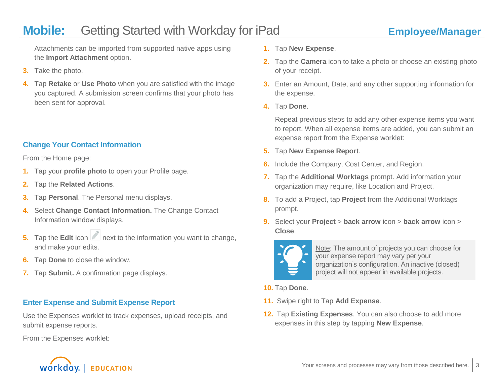Attachments can be imported from supported native apps using the **Import Attachment** option.

- **3.** Take the photo.
- **4.** Tap **Retake** or **Use Photo** when you are satisfied with the image you captured. A submission screen confirms that your photo has been sent for approval.

### **Change Your Contact Information**

From the Home page:

- **1.** Tap your **profile photo** to open your Profile page.
- **2.** Tap the **Related Actions**.
- **3.** Tap **Personal**. The Personal menu displays.
- **4.** Select **Change Contact Information.** The Change Contact Information window displays.
- **5.** Tap the **Edit** icon **next to the information you want to change,** and make your edits.
- **6.** Tap **Done** to close the window.
- **7.** Tap **Submit.** A confirmation page displays.

### **Enter Expense and Submit Expense Report**

Use the Expenses worklet to track expenses, upload receipts, and submit expense reports.

From the Expenses worklet:



- **2.** Tap the **Camera** icon to take a photo or choose an existing photo of your receipt.
- **3.** Enter an Amount, Date, and any other supporting information for the expense.
- **4.** Tap **Done**.

Repeat previous steps to add any other expense items you want to report. When all expense items are added, you can submit an expense report from the Expense worklet:

- **5.** Tap **New Expense Report**.
- **6.** Include the Company, Cost Center, and Region.
- **7.** Tap the **Additional Worktags** prompt. Add information your organization may require, like Location and Project.
- **8.** To add a Project, tap **Project** from the Additional Worktags prompt.
- **9.** Select your **Project** > **back arrow** icon > **back arrow** icon > **Close**.



Note: The amount of projects you can choose for your expense report may vary per your organization's configuration. An inactive (closed) project will not appear in available projects.

- **10.** Tap **Done**.
- **11.** Swipe right to Tap **Add Expense**.
- **12.** Tap **Existing Expenses**. You can also choose to add more expenses in this step by tapping **New Expense**.

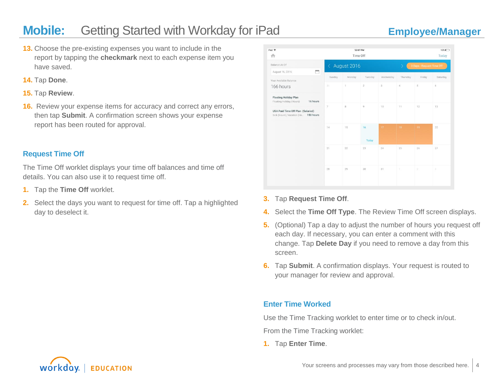- **13.** Choose the pre-existing expenses you want to include in the report by tapping the **checkmark** next to each expense item you have saved.
- **14.** Tap **Done**.
- **15.** Tap **Review**.
- **16.** Review your expense items for accuracy and correct any errors, then tap **Submit**. A confirmation screen shows your expense report has been routed for approval.

### **Request Time Off**

The Time Off worklet displays your time off balances and time off details. You can also use it to request time off.

- **1.** Tap the **Time Off** worklet.
- **2.** Select the days you want to request for time off. Tap a highlighted day to deselect it.

| iPad 全<br>n                                                               | 12:07 PM<br>Time Off                        |                |                |                                                       |            |                | $13\%$<br>Today           |
|---------------------------------------------------------------------------|---------------------------------------------|----------------|----------------|-------------------------------------------------------|------------|----------------|---------------------------|
| Balance As Of                                                             | August 2016<br>$\left\langle \right\rangle$ |                |                | $\overline{\phantom{0}}$<br>3 Days - Request Time Off |            |                |                           |
| ▭<br>August 16, 2016                                                      | Sunday                                      | Monday         | Tuesday        | Wednesday                                             | Thursday   | Friday         | Saturday                  |
| Your Available Balance                                                    |                                             |                |                |                                                       |            |                |                           |
| 166 hours                                                                 | 31                                          | $\overline{1}$ | $\overline{2}$ | $\overline{3}$                                        | $\ddot{4}$ | $\overline{5}$ | 6                         |
| <b>Floating Holiday Plan</b><br>Floating Holiday (Hours)<br>16 hours      |                                             |                |                |                                                       |            |                |                           |
| USA Paid Time Off Plan (Salaried)<br>Sick (Hours), Vacation (Ho 150 hours | $\tau$                                      | $\overline{8}$ | 9              | 10 <sup>°</sup>                                       | 11         | 12             | 13                        |
|                                                                           | 14                                          | 15             | 16             | 17 <sup>°</sup>                                       | 18         | 19             | 20                        |
|                                                                           |                                             |                | Today          |                                                       |            |                |                           |
|                                                                           | 21                                          | 22             | 23             | 24                                                    | 25         | 26             | 27                        |
|                                                                           | 28                                          | 29             | 30             | 31                                                    | ÷.         | $\overline{2}$ | $\ensuremath{\mathsf{3}}$ |

- **3.** Tap **Request Time Off**.
- **4.** Select the **Time Off Type**. The Review Time Off screen displays.
- **5.** (Optional) Tap a day to adjust the number of hours you request off each day. If necessary, you can enter a comment with this change. Tap **Delete Day** if you need to remove a day from this screen.
- **6.** Tap **Submit**. A confirmation displays. Your request is routed to your manager for review and approval.

### **Enter Time Worked**

Use the Time Tracking worklet to enter time or to check in/out.

From the Time Tracking worklet:

**1.** Tap **Enter Time**.

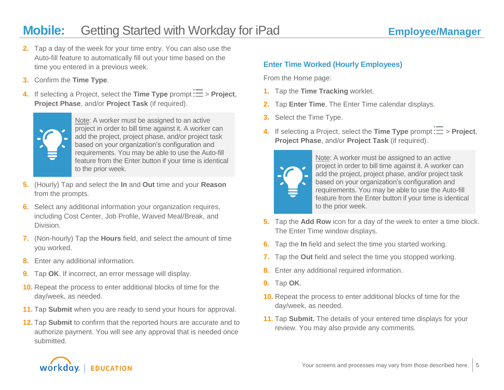- **2.** Tap a day of the week for your time entry. You can also use the Auto-fill feature to automatically fill out your time based on the time you entered in a previous week.
- **3.** Confirm the **Time Type**.
- **4.** If selecting a Project, select the **Time Type** prompt  $\overline{E}$  > **Project**, **Project Phase**, and/or **Project Task** (if required).



Note: A worker must be assigned to an active project in order to bill time against it. A worker can add the project, project phase, and/or project task based on your organization's configuration and requirements. You may be able to use the Auto-fill feature from the Enter button if your time is identical to the prior week.

- **5.** (Hourly) Tap and select the **In** and **Out** time and your **Reason** from the prompts.
- **6.** Select any additional information your organization requires, including Cost Center, Job Profile, Waived Meal/Break, and Division.
- **7.** (Non-hourly) Tap the **Hours** field, and select the amount of time you worked.
- **8.** Enter any additional information.
- **9.** Tap **OK**. If incorrect, an error message will display.
- **10.** Repeat the process to enter additional blocks of time for the day/week, as needed.
- **11.** Tap **Submit** when you are ready to send your hours for approval.
- **12.** Tap **Submit** to confirm that the reported hours are accurate and to authorize payment. You will see any approval that is needed once submitted.

### **Enter Time Worked (Hourly Employees)**

From the Home page:

- **1.** Tap the **Time Tracking** worklet.
- **2.** Tap **Enter Time**. The Enter Time calendar displays.
- **3.** Select the Time Type.
- **4.** If selecting a Project, select the **Time Type** prompt  $\mathbf{F} = \mathbf{P}$  **Project**, **Project Phase**, and/or **Project Task** (if required).



Note: A worker must be assigned to an active project in order to bill time against it. A worker can add the project, project phase, and/or project task based on your organization's configuration and requirements. You may be able to use the Auto-fill feature from the Enter button if your time is identical to the prior week.

- **5.** Tap the **Add Row** icon for a day of the week to enter a time block. The Enter Time window displays.
- **6.** Tap the **In** field and select the time you started working.
- **7.** Tap the **Out** field and select the time you stopped working.
- **8.** Enter any additional required information.
- **9.** Tap **OK**.
- **10.** Repeat the process to enter additional blocks of time for the day/week, as needed.
- **11.** Tap **Submit.** The details of your entered time displays for your review. You may also provide any comments.

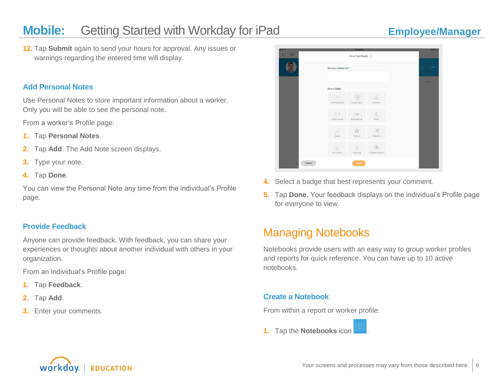**12.** Tap **Submit** again to send your hours for approval. Any issues or warnings regarding the entered time will display.

### **Add Personal Notes**

Use Personal Notes to store important information about a worker. Only you will be able to see the personal note.

From a worker's Profile page:

- **1.** Tap **Personal Notes**.
- **2.** Tap **Add**. The Add Note screen displays.
- **3.** Type your note.
- **4.** Tap **Done**.

You can view the Personal Note any time from the individual's Profile page.

### **Provide Feedback**

Anyone can provide feedback. With feedback, you can share your experiences or thoughts about another individual with others in your organization.

From an individual's Profile page:

- **1.** Tap **Feedback**.
- **2.** Tap **Add**.
- **3.** Enter your comments.



- **4.** Select a badge that best represents your comment.
- **5.** Tap **Done**. Your feedback displays on the individual's Profile page for everyone to view.

## Managing Notebooks

Notebooks provide users with an easy way to group worker profiles and reports for quick reference. You can have up to 10 active notebooks.

### **Create a Notebook**

From within a report or worker profile:

**1.** Tap the **Notebooks** icon .

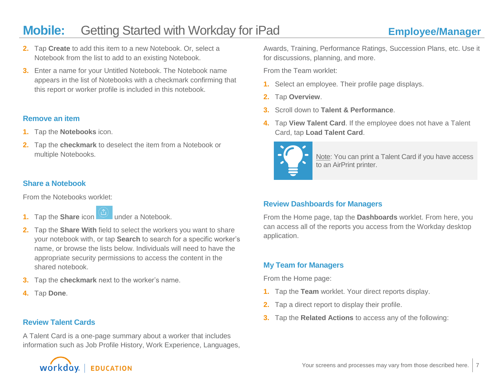- **2.** Tap **Create** to add this item to a new Notebook. Or, select a Notebook from the list to add to an existing Notebook.
- **3.** Enter a name for your Untitled Notebook. The Notebook name appears in the list of Notebooks with a checkmark confirming that this report or worker profile is included in this notebook.

### **Remove an item**

- **1.** Tap the **Notebooks** icon.
- **2.** Tap the **checkmark** to deselect the item from a Notebook or multiple Notebooks.

## **Share a Notebook**

From the Notebooks worklet:

- **1.** Tap the **Share** icon **b** under a Notebook.
	-
- **2.** Tap the **Share With** field to select the workers you want to share your notebook with, or tap **Search** to search for a specific worker's name, or browse the lists below. Individuals will need to have the appropriate security permissions to access the content in the shared notebook.
- **3.** Tap the **checkmark** next to the worker's name.
- **4.** Tap **Done**.

### **Review Talent Cards**

A Talent Card is a one-page summary about a worker that includes information such as Job Profile History, Work Experience, Languages,



Awards, Training, Performance Ratings, Succession Plans, etc. Use it for discussions, planning, and more.

From the Team worklet:

- **1.** Select an employee*.* Their profile page displays.
- **2.** Tap **Overview**.
- **3.** Scroll down to **Talent & Performance**.
- **4.** Tap **View Talent Card**. If the employee does not have a Talent Card, tap **Load Talent Card**.



Note: You can print a Talent Card if you have access to an AirPrint printer.

## **Review Dashboards for Managers**

From the Home page, tap the **Dashboards** worklet. From here, you can access all of the reports you access from the Workday desktop application.

## **My Team for Managers**

From the Home page:

- **1.** Tap the **Team** worklet. Your direct reports display.
- **2.** Tap a direct report to display their profile.
- **3.** Tap the **Related Actions** to access any of the following: